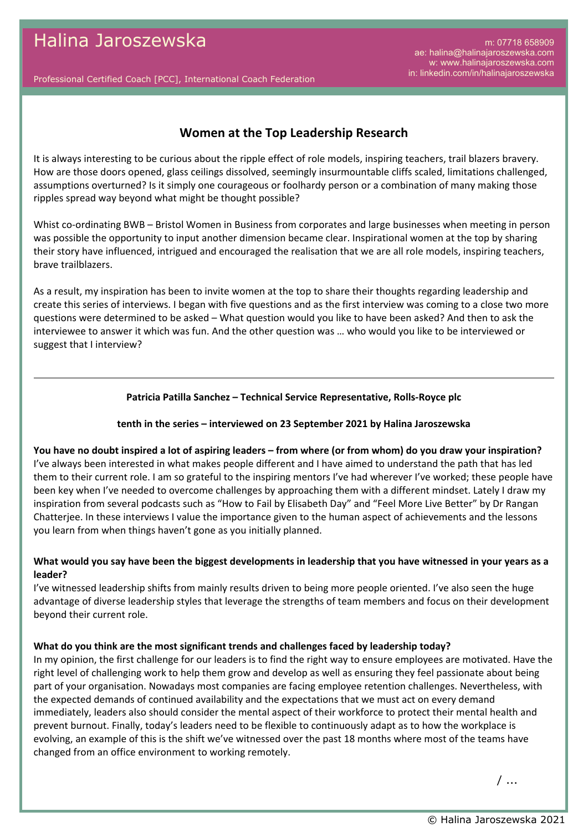Professional Certified Coach [PCC], International Coach Federation

# **Women at the Top Leadership Research**

It is always interesting to be curious about the ripple effect of role models, inspiring teachers, trail blazers bravery. How are those doors opened, glass ceilings dissolved, seemingly insurmountable cliffs scaled, limitations challenged, assumptions overturned? Is it simply one courageous or foolhardy person or a combination of many making those ripples spread way beyond what might be thought possible?

Whist co-ordinating BWB – Bristol Women in Business from corporates and large businesses when meeting in person was possible the opportunity to input another dimension became clear. Inspirational women at the top by sharing their story have influenced, intrigued and encouraged the realisation that we are all role models, inspiring teachers, brave trailblazers.

As a result, my inspiration has been to invite women at the top to share their thoughts regarding leadership and create this series of interviews. I began with five questions and as the first interview was coming to a close two more questions were determined to be asked – What question would you like to have been asked? And then to ask the interviewee to answer it which was fun. And the other question was … who would you like to be interviewed or suggest that I interview?

## **Patricia Patilla Sanchez – Technical Service Representative, Rolls-Royce plc**

## **tenth in the series – interviewed on 23 September 2021 by Halina Jaroszewska**

**You have no doubt inspired a lot of aspiring leaders – from where (or from whom) do you draw your inspiration?** I've always been interested in what makes people different and I have aimed to understand the path that has led them to their current role. I am so grateful to the inspiring mentors I've had wherever I've worked; these people have been key when I've needed to overcome challenges by approaching them with a different mindset. Lately I draw my inspiration from several podcasts such as "How to Fail by Elisabeth Day" and "Feel More Live Better" by Dr Rangan Chatterjee. In these interviews I value the importance given to the human aspect of achievements and the lessons you learn from when things haven't gone as you initially planned.

## **What would you say have been the biggest developments in leadership that you have witnessed in your years as a leader?**

I've witnessed leadership shifts from mainly results driven to being more people oriented. I've also seen the huge advantage of diverse leadership styles that leverage the strengths of team members and focus on their development beyond their current role.

## **What do you think are the most significant trends and challenges faced by leadership today?**

In my opinion, the first challenge for our leaders is to find the right way to ensure employees are motivated. Have the right level of challenging work to help them grow and develop as well as ensuring they feel passionate about being part of your organisation. Nowadays most companies are facing employee retention challenges. Nevertheless, with the expected demands of continued availability and the expectations that we must act on every demand immediately, leaders also should consider the mental aspect of their workforce to protect their mental health and prevent burnout. Finally, today's leaders need to be flexible to continuously adapt as to how the workplace is evolving, an example of this is the shift we've witnessed over the past 18 months where most of the teams have changed from an office environment to working remotely.

/ ...